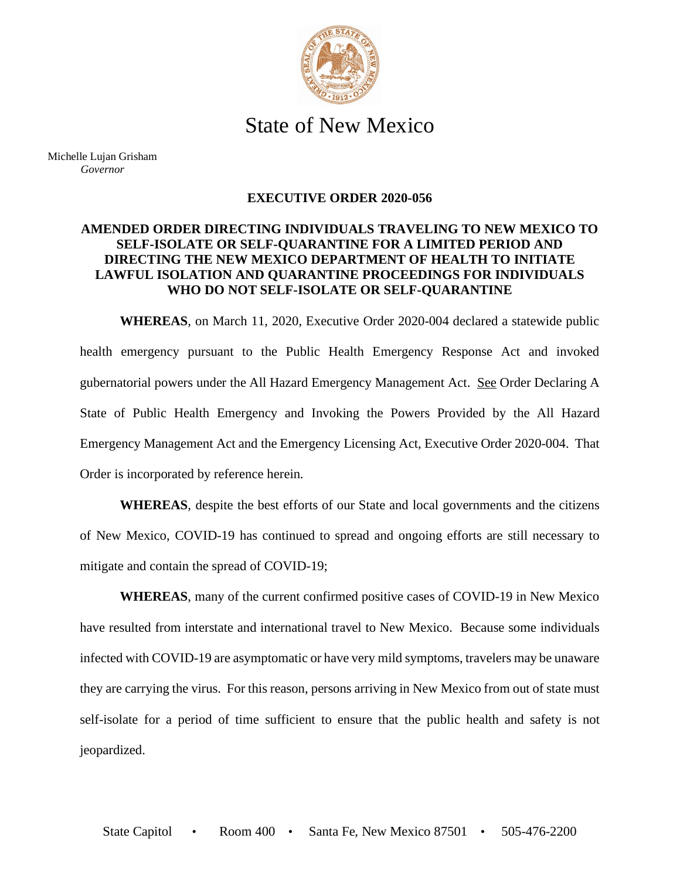

## State of New Mexico

Michelle Lujan Grisham *Governor*

## **EXECUTIVE ORDER 2020-056**

## **AMENDED ORDER DIRECTING INDIVIDUALS TRAVELING TO NEW MEXICO TO SELF-ISOLATE OR SELF-QUARANTINE FOR A LIMITED PERIOD AND DIRECTING THE NEW MEXICO DEPARTMENT OF HEALTH TO INITIATE LAWFUL ISOLATION AND QUARANTINE PROCEEDINGS FOR INDIVIDUALS WHO DO NOT SELF-ISOLATE OR SELF-QUARANTINE**

**WHEREAS**, on March 11, 2020, Executive Order 2020-004 declared a statewide public health emergency pursuant to the Public Health Emergency Response Act and invoked gubernatorial powers under the All Hazard Emergency Management Act. See Order Declaring A State of Public Health Emergency and Invoking the Powers Provided by the All Hazard Emergency Management Act and the Emergency Licensing Act, Executive Order 2020-004. That Order is incorporated by reference herein.

**WHEREAS**, despite the best efforts of our State and local governments and the citizens of New Mexico, COVID-19 has continued to spread and ongoing efforts are still necessary to mitigate and contain the spread of COVID-19;

**WHEREAS**, many of the current confirmed positive cases of COVID-19 in New Mexico have resulted from interstate and international travel to New Mexico. Because some individuals infected with COVID-19 are asymptomatic or have very mild symptoms, travelers may be unaware they are carrying the virus. For this reason, persons arriving in New Mexico from out of state must self-isolate for a period of time sufficient to ensure that the public health and safety is not jeopardized.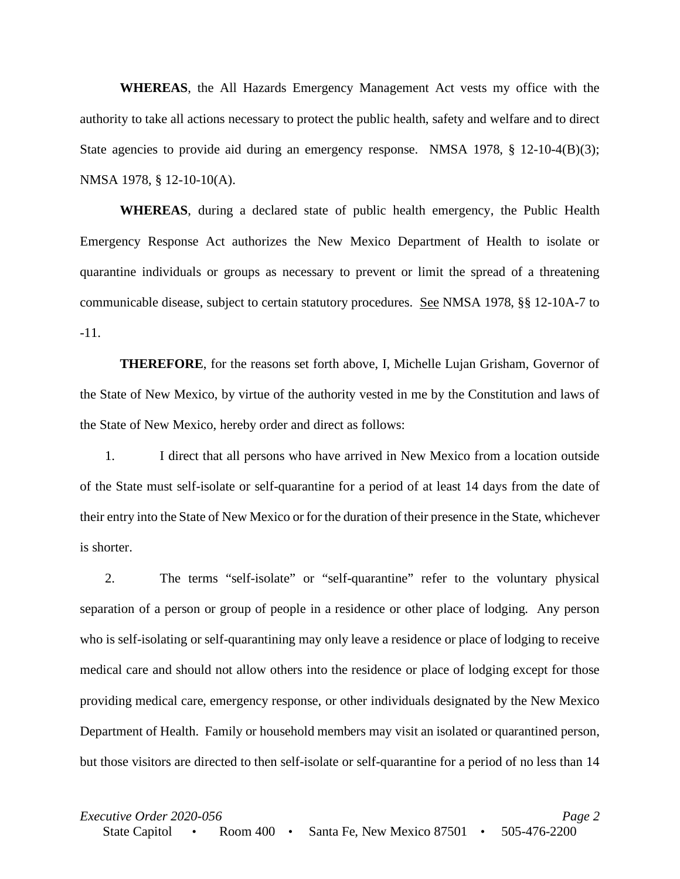**WHEREAS**, the All Hazards Emergency Management Act vests my office with the authority to take all actions necessary to protect the public health, safety and welfare and to direct State agencies to provide aid during an emergency response. NMSA 1978, § 12-10-4(B)(3); NMSA 1978, § 12-10-10(A).

**WHEREAS**, during a declared state of public health emergency, the Public Health Emergency Response Act authorizes the New Mexico Department of Health to isolate or quarantine individuals or groups as necessary to prevent or limit the spread of a threatening communicable disease, subject to certain statutory procedures. See NMSA 1978, §§ 12-10A-7 to -11.

**THEREFORE**, for the reasons set forth above, I, Michelle Lujan Grisham, Governor of the State of New Mexico, by virtue of the authority vested in me by the Constitution and laws of the State of New Mexico, hereby order and direct as follows:

1. I direct that all persons who have arrived in New Mexico from a location outside of the State must self-isolate or self-quarantine for a period of at least 14 days from the date of their entry into the State of New Mexico or for the duration of their presence in the State, whichever is shorter.

2. The terms "self-isolate" or "self-quarantine" refer to the voluntary physical separation of a person or group of people in a residence or other place of lodging. Any person who is self-isolating or self-quarantining may only leave a residence or place of lodging to receive medical care and should not allow others into the residence or place of lodging except for those providing medical care, emergency response, or other individuals designated by the New Mexico Department of Health. Family or household members may visit an isolated or quarantined person, but those visitors are directed to then self-isolate or self-quarantine for a period of no less than 14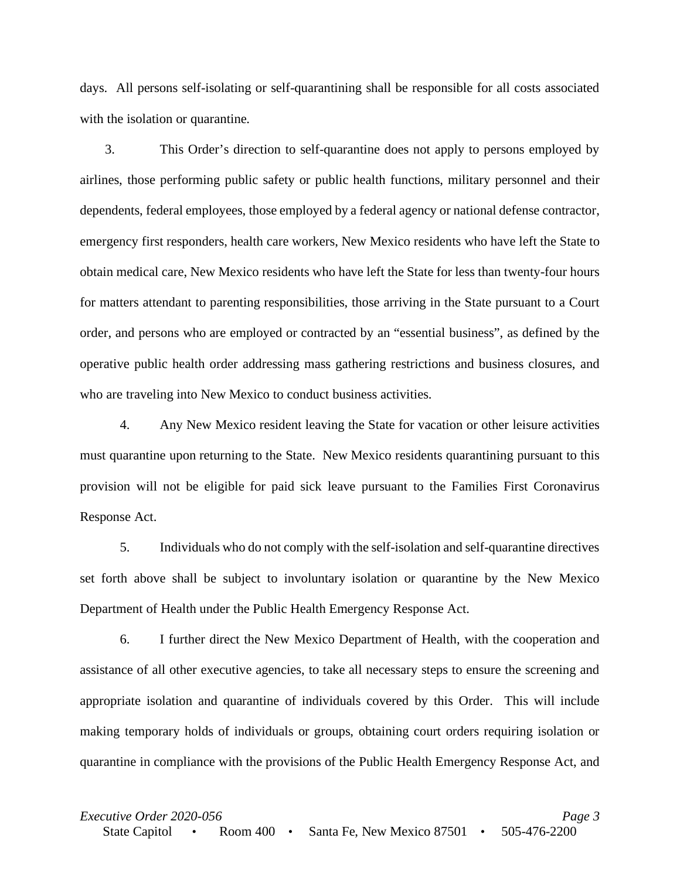days. All persons self-isolating or self-quarantining shall be responsible for all costs associated with the isolation or quarantine.

3. This Order's direction to self-quarantine does not apply to persons employed by airlines, those performing public safety or public health functions, military personnel and their dependents, federal employees, those employed by a federal agency or national defense contractor, emergency first responders, health care workers, New Mexico residents who have left the State to obtain medical care, New Mexico residents who have left the State for less than twenty-four hours for matters attendant to parenting responsibilities, those arriving in the State pursuant to a Court order, and persons who are employed or contracted by an "essential business", as defined by the operative public health order addressing mass gathering restrictions and business closures, and who are traveling into New Mexico to conduct business activities.

4. Any New Mexico resident leaving the State for vacation or other leisure activities must quarantine upon returning to the State. New Mexico residents quarantining pursuant to this provision will not be eligible for paid sick leave pursuant to the Families First Coronavirus Response Act.

5. Individuals who do not comply with the self-isolation and self-quarantine directives set forth above shall be subject to involuntary isolation or quarantine by the New Mexico Department of Health under the Public Health Emergency Response Act.

6. I further direct the New Mexico Department of Health, with the cooperation and assistance of all other executive agencies, to take all necessary steps to ensure the screening and appropriate isolation and quarantine of individuals covered by this Order. This will include making temporary holds of individuals or groups, obtaining court orders requiring isolation or quarantine in compliance with the provisions of the Public Health Emergency Response Act, and